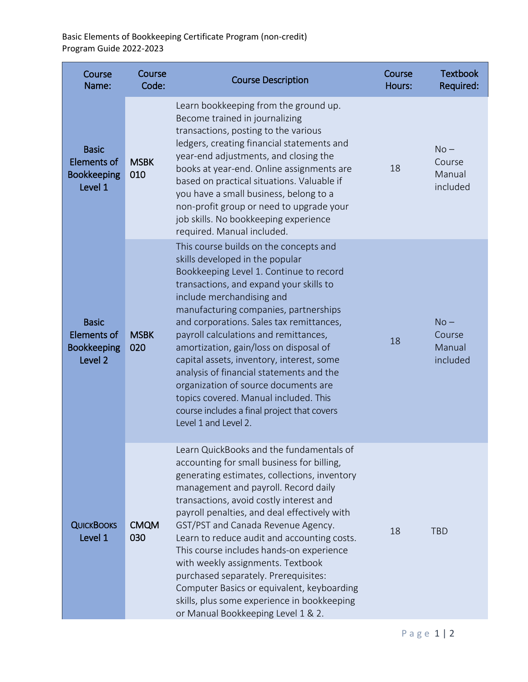Basic Elements of Bookkeeping Certificate Program (non-credit) Program Guide 2022-2023

| Course<br>Name:                                                     | Course<br>Code:    | <b>Course Description</b>                                                                                                                                                                                                                                                                                                                                                                                                                                                                                                                                                                                                  | Course<br>Hours: | <b>Textbook</b><br>Required:           |
|---------------------------------------------------------------------|--------------------|----------------------------------------------------------------------------------------------------------------------------------------------------------------------------------------------------------------------------------------------------------------------------------------------------------------------------------------------------------------------------------------------------------------------------------------------------------------------------------------------------------------------------------------------------------------------------------------------------------------------------|------------------|----------------------------------------|
| <b>Basic</b><br><b>Elements of</b><br><b>Bookkeeping</b><br>Level 1 | <b>MSBK</b><br>010 | Learn bookkeeping from the ground up.<br>Become trained in journalizing<br>transactions, posting to the various<br>ledgers, creating financial statements and<br>year-end adjustments, and closing the<br>books at year-end. Online assignments are<br>based on practical situations. Valuable if<br>you have a small business, belong to a<br>non-profit group or need to upgrade your<br>job skills. No bookkeeping experience<br>required. Manual included.                                                                                                                                                             | 18               | $No -$<br>Course<br>Manual<br>included |
| <b>Basic</b><br><b>Elements of</b><br><b>Bookkeeping</b><br>Level 2 | <b>MSBK</b><br>020 | This course builds on the concepts and<br>skills developed in the popular<br>Bookkeeping Level 1. Continue to record<br>transactions, and expand your skills to<br>include merchandising and<br>manufacturing companies, partnerships<br>and corporations. Sales tax remittances,<br>payroll calculations and remittances,<br>amortization, gain/loss on disposal of<br>capital assets, inventory, interest, some<br>analysis of financial statements and the<br>organization of source documents are<br>topics covered. Manual included. This<br>course includes a final project that covers<br>Level 1 and Level 2.      | 18               | $No -$<br>Course<br>Manual<br>included |
| <b>QUICKBOOKS</b><br>Level 1                                        | <b>CMQM</b><br>030 | Learn QuickBooks and the fundamentals of<br>accounting for small business for billing,<br>generating estimates, collections, inventory<br>management and payroll. Record daily<br>transactions, avoid costly interest and<br>payroll penalties, and deal effectively with<br>GST/PST and Canada Revenue Agency.<br>Learn to reduce audit and accounting costs.<br>This course includes hands-on experience<br>with weekly assignments. Textbook<br>purchased separately. Prerequisites:<br>Computer Basics or equivalent, keyboarding<br>skills, plus some experience in bookkeeping<br>or Manual Bookkeeping Level 1 & 2. | 18               | <b>TBD</b>                             |